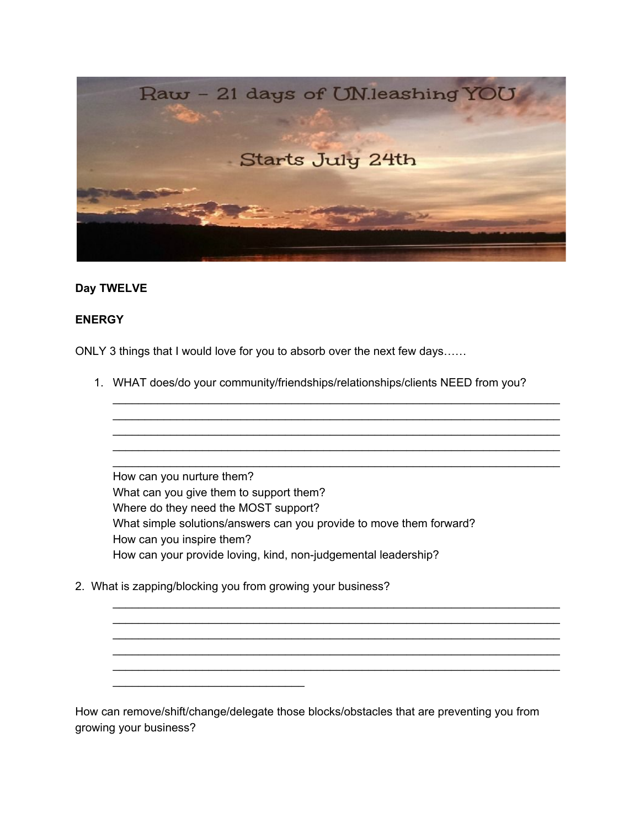

## **Day TWELVE**

## **ENERGY**

ONLY 3 things that I would love for you to absorb over the next few days……

1. WHAT does/do your community/friendships/relationships/clients NEED from you?

\_\_\_\_\_\_\_\_\_\_\_\_\_\_\_\_\_\_\_\_\_\_\_\_\_\_\_\_\_\_\_\_\_\_\_\_\_\_\_\_\_\_\_\_\_\_\_\_\_\_\_\_\_\_\_\_\_\_\_\_\_\_\_\_\_\_\_\_\_\_ \_\_\_\_\_\_\_\_\_\_\_\_\_\_\_\_\_\_\_\_\_\_\_\_\_\_\_\_\_\_\_\_\_\_\_\_\_\_\_\_\_\_\_\_\_\_\_\_\_\_\_\_\_\_\_\_\_\_\_\_\_\_\_\_\_\_\_\_\_\_ \_\_\_\_\_\_\_\_\_\_\_\_\_\_\_\_\_\_\_\_\_\_\_\_\_\_\_\_\_\_\_\_\_\_\_\_\_\_\_\_\_\_\_\_\_\_\_\_\_\_\_\_\_\_\_\_\_\_\_\_\_\_\_\_\_\_\_\_\_\_ \_\_\_\_\_\_\_\_\_\_\_\_\_\_\_\_\_\_\_\_\_\_\_\_\_\_\_\_\_\_\_\_\_\_\_\_\_\_\_\_\_\_\_\_\_\_\_\_\_\_\_\_\_\_\_\_\_\_\_\_\_\_\_\_\_\_\_\_\_\_ \_\_\_\_\_\_\_\_\_\_\_\_\_\_\_\_\_\_\_\_\_\_\_\_\_\_\_\_\_\_\_\_\_\_\_\_\_\_\_\_\_\_\_\_\_\_\_\_\_\_\_\_\_\_\_\_\_\_\_\_\_\_\_\_\_\_\_\_\_\_

\_\_\_\_\_\_\_\_\_\_\_\_\_\_\_\_\_\_\_\_\_\_\_\_\_\_\_\_\_\_\_\_\_\_\_\_\_\_\_\_\_\_\_\_\_\_\_\_\_\_\_\_\_\_\_\_\_\_\_\_\_\_\_\_\_\_\_\_\_\_ \_\_\_\_\_\_\_\_\_\_\_\_\_\_\_\_\_\_\_\_\_\_\_\_\_\_\_\_\_\_\_\_\_\_\_\_\_\_\_\_\_\_\_\_\_\_\_\_\_\_\_\_\_\_\_\_\_\_\_\_\_\_\_\_\_\_\_\_\_\_ \_\_\_\_\_\_\_\_\_\_\_\_\_\_\_\_\_\_\_\_\_\_\_\_\_\_\_\_\_\_\_\_\_\_\_\_\_\_\_\_\_\_\_\_\_\_\_\_\_\_\_\_\_\_\_\_\_\_\_\_\_\_\_\_\_\_\_\_\_\_ \_\_\_\_\_\_\_\_\_\_\_\_\_\_\_\_\_\_\_\_\_\_\_\_\_\_\_\_\_\_\_\_\_\_\_\_\_\_\_\_\_\_\_\_\_\_\_\_\_\_\_\_\_\_\_\_\_\_\_\_\_\_\_\_\_\_\_\_\_\_ \_\_\_\_\_\_\_\_\_\_\_\_\_\_\_\_\_\_\_\_\_\_\_\_\_\_\_\_\_\_\_\_\_\_\_\_\_\_\_\_\_\_\_\_\_\_\_\_\_\_\_\_\_\_\_\_\_\_\_\_\_\_\_\_\_\_\_\_\_\_

How can you nurture them? What can you give them to support them? Where do they need the MOST support? What simple solutions/answers can you provide to move them forward? How can you inspire them? How can your provide loving, kind, non-judgemental leadership?

2. What is zapping/blocking you from growing your business?

\_\_\_\_\_\_\_\_\_\_\_\_\_\_\_\_\_\_\_\_\_\_\_\_\_\_\_\_\_\_

How can remove/shift/change/delegate those blocks/obstacles that are preventing you from growing your business?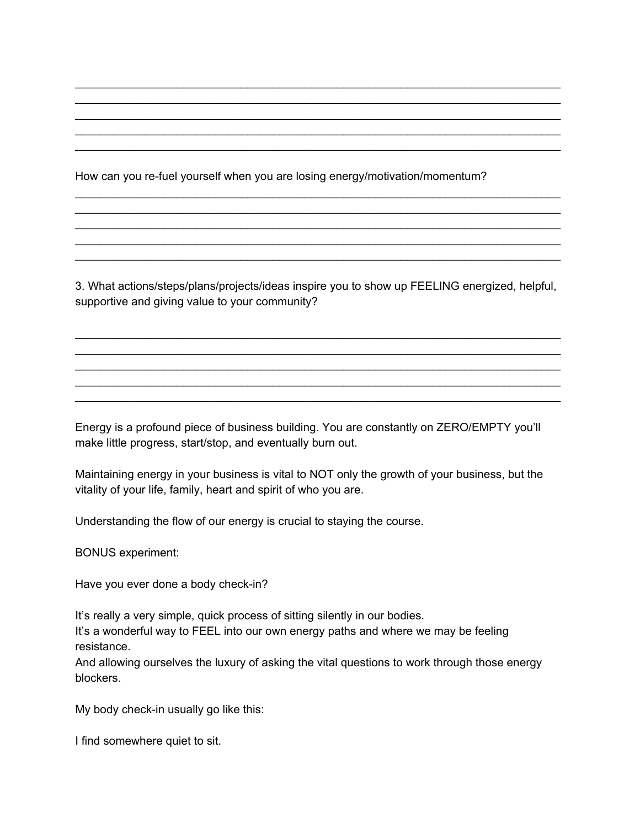How can you re-fuel yourself when you are losing energy/motivation/momentum?

3. What actions/steps/plans/projects/ideas inspire you to show up FEELING energized, helpful, supportive and giving value to your community?

\_\_\_\_\_\_\_\_\_\_\_\_\_\_\_\_\_\_\_\_\_\_\_\_\_\_\_\_\_\_\_\_\_\_\_\_\_\_\_\_\_\_\_\_\_\_\_\_\_\_\_\_\_\_\_\_\_\_\_\_\_\_\_\_\_\_\_\_\_\_\_\_\_\_\_\_ \_\_\_\_\_\_\_\_\_\_\_\_\_\_\_\_\_\_\_\_\_\_\_\_\_\_\_\_\_\_\_\_\_\_\_\_\_\_\_\_\_\_\_\_\_\_\_\_\_\_\_\_\_\_\_\_\_\_\_\_\_\_\_\_\_\_\_\_\_\_\_\_\_\_\_\_ \_\_\_\_\_\_\_\_\_\_\_\_\_\_\_\_\_\_\_\_\_\_\_\_\_\_\_\_\_\_\_\_\_\_\_\_\_\_\_\_\_\_\_\_\_\_\_\_\_\_\_\_\_\_\_\_\_\_\_\_\_\_\_\_\_\_\_\_\_\_\_\_\_\_\_\_ \_\_\_\_\_\_\_\_\_\_\_\_\_\_\_\_\_\_\_\_\_\_\_\_\_\_\_\_\_\_\_\_\_\_\_\_\_\_\_\_\_\_\_\_\_\_\_\_\_\_\_\_\_\_\_\_\_\_\_\_\_\_\_\_\_\_\_\_\_\_\_\_\_\_\_\_ \_\_\_\_\_\_\_\_\_\_\_\_\_\_\_\_\_\_\_\_\_\_\_\_\_\_\_\_\_\_\_\_\_\_\_\_\_\_\_\_\_\_\_\_\_\_\_\_\_\_\_\_\_\_\_\_\_\_\_\_\_\_\_\_\_\_\_\_\_\_\_\_\_\_\_\_

\_\_\_\_\_\_\_\_\_\_\_\_\_\_\_\_\_\_\_\_\_\_\_\_\_\_\_\_\_\_\_\_\_\_\_\_\_\_\_\_\_\_\_\_\_\_\_\_\_\_\_\_\_\_\_\_\_\_\_\_\_\_\_\_\_\_\_\_\_\_\_\_\_\_\_\_ \_\_\_\_\_\_\_\_\_\_\_\_\_\_\_\_\_\_\_\_\_\_\_\_\_\_\_\_\_\_\_\_\_\_\_\_\_\_\_\_\_\_\_\_\_\_\_\_\_\_\_\_\_\_\_\_\_\_\_\_\_\_\_\_\_\_\_\_\_\_\_\_\_\_\_\_ \_\_\_\_\_\_\_\_\_\_\_\_\_\_\_\_\_\_\_\_\_\_\_\_\_\_\_\_\_\_\_\_\_\_\_\_\_\_\_\_\_\_\_\_\_\_\_\_\_\_\_\_\_\_\_\_\_\_\_\_\_\_\_\_\_\_\_\_\_\_\_\_\_\_\_\_ \_\_\_\_\_\_\_\_\_\_\_\_\_\_\_\_\_\_\_\_\_\_\_\_\_\_\_\_\_\_\_\_\_\_\_\_\_\_\_\_\_\_\_\_\_\_\_\_\_\_\_\_\_\_\_\_\_\_\_\_\_\_\_\_\_\_\_\_\_\_\_\_\_\_\_\_ \_\_\_\_\_\_\_\_\_\_\_\_\_\_\_\_\_\_\_\_\_\_\_\_\_\_\_\_\_\_\_\_\_\_\_\_\_\_\_\_\_\_\_\_\_\_\_\_\_\_\_\_\_\_\_\_\_\_\_\_\_\_\_\_\_\_\_\_\_\_\_\_\_\_\_\_

\_\_\_\_\_\_\_\_\_\_\_\_\_\_\_\_\_\_\_\_\_\_\_\_\_\_\_\_\_\_\_\_\_\_\_\_\_\_\_\_\_\_\_\_\_\_\_\_\_\_\_\_\_\_\_\_\_\_\_\_\_\_\_\_\_\_\_\_\_\_\_\_\_\_\_\_ \_\_\_\_\_\_\_\_\_\_\_\_\_\_\_\_\_\_\_\_\_\_\_\_\_\_\_\_\_\_\_\_\_\_\_\_\_\_\_\_\_\_\_\_\_\_\_\_\_\_\_\_\_\_\_\_\_\_\_\_\_\_\_\_\_\_\_\_\_\_\_\_\_\_\_\_ \_\_\_\_\_\_\_\_\_\_\_\_\_\_\_\_\_\_\_\_\_\_\_\_\_\_\_\_\_\_\_\_\_\_\_\_\_\_\_\_\_\_\_\_\_\_\_\_\_\_\_\_\_\_\_\_\_\_\_\_\_\_\_\_\_\_\_\_\_\_\_\_\_\_\_\_ \_\_\_\_\_\_\_\_\_\_\_\_\_\_\_\_\_\_\_\_\_\_\_\_\_\_\_\_\_\_\_\_\_\_\_\_\_\_\_\_\_\_\_\_\_\_\_\_\_\_\_\_\_\_\_\_\_\_\_\_\_\_\_\_\_\_\_\_\_\_\_\_\_\_\_\_ \_\_\_\_\_\_\_\_\_\_\_\_\_\_\_\_\_\_\_\_\_\_\_\_\_\_\_\_\_\_\_\_\_\_\_\_\_\_\_\_\_\_\_\_\_\_\_\_\_\_\_\_\_\_\_\_\_\_\_\_\_\_\_\_\_\_\_\_\_\_\_\_\_\_\_\_

Energy is a profound piece of business building. You are constantly on ZERO/EMPTY you'll make little progress, start/stop, and eventually burn out.

Maintaining energy in your business is vital to NOT only the growth of your business, but the vitality of your life, family, heart and spirit of who you are.

Understanding the flow of our energy is crucial to staying the course.

BONUS experiment:

Have you ever done a body check-in?

It's really a very simple, quick process of sitting silently in our bodies.

It's a wonderful way to FEEL into our own energy paths and where we may be feeling resistance.

And allowing ourselves the luxury of asking the vital questions to work through those energy blockers.

My body check-in usually go like this:

I find somewhere quiet to sit.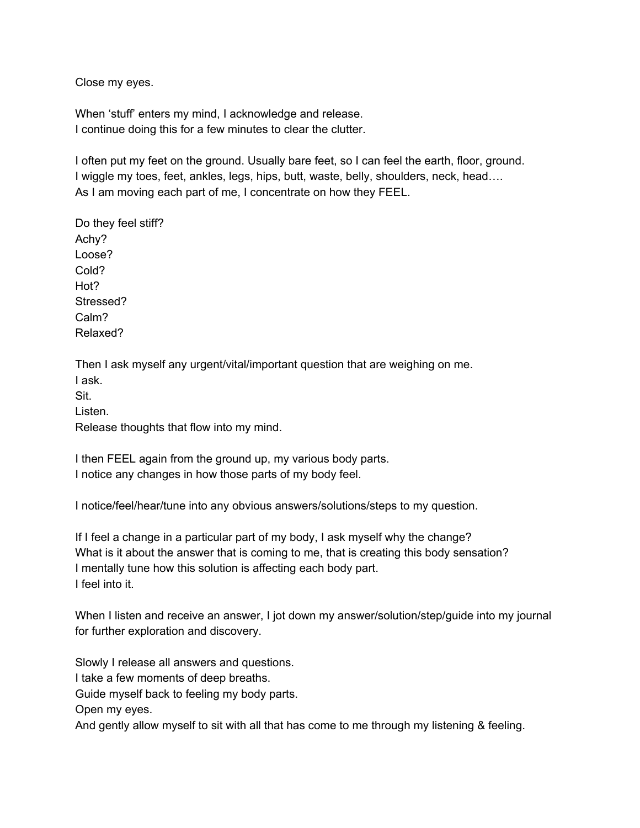Close my eyes.

When 'stuff' enters my mind, I acknowledge and release. I continue doing this for a few minutes to clear the clutter.

I often put my feet on the ground. Usually bare feet, so I can feel the earth, floor, ground. I wiggle my toes, feet, ankles, legs, hips, butt, waste, belly, shoulders, neck, head…. As I am moving each part of me, I concentrate on how they FEEL.

Do they feel stiff? Achy? Loose? Cold? Hot? Stressed? Calm? Relaxed?

Then I ask myself any urgent/vital/important question that are weighing on me. I ask. Sit. Listen. Release thoughts that flow into my mind.

I then FEEL again from the ground up, my various body parts. I notice any changes in how those parts of my body feel.

I notice/feel/hear/tune into any obvious answers/solutions/steps to my question.

If I feel a change in a particular part of my body, I ask myself why the change? What is it about the answer that is coming to me, that is creating this body sensation? I mentally tune how this solution is affecting each body part. I feel into it.

When I listen and receive an answer, I jot down my answer/solution/step/guide into my journal for further exploration and discovery.

Slowly I release all answers and questions.

I take a few moments of deep breaths.

Guide myself back to feeling my body parts.

Open my eyes.

And gently allow myself to sit with all that has come to me through my listening & feeling.